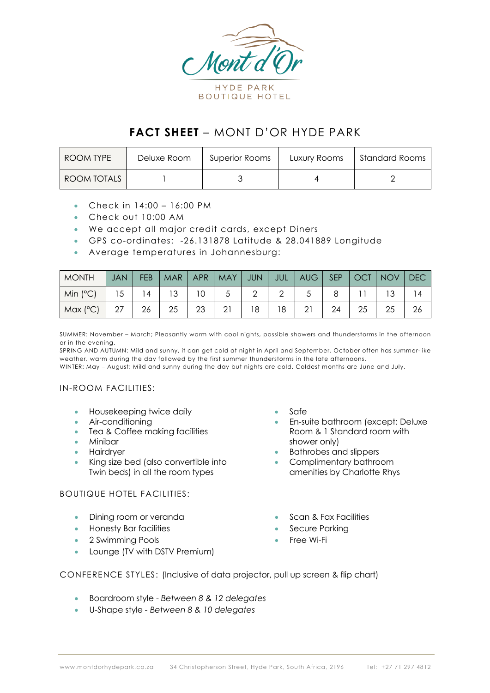

# **FACT SHEET** – MONT D'OR HYDE PARK

| ROOM TYPE   | Deluxe Room | Superior Rooms | Luxury Rooms | Standard Rooms |
|-------------|-------------|----------------|--------------|----------------|
| ROOM TOTALS |             |                |              |                |

- Check in 14:00 16:00 PM
- Check out 10:00 AM
- We accept all major credit cards, except Diners
- GPS co-ordinates: -26.131878 Latitude & 28.041889 Longitude
- Average temperatures in Johannesburg:

| <b>MONTH</b>    | <b>JAN</b> | <b>FEB</b> | MAR | APR | MAY | JUN | JUL | AUG | SEP | $\perp$ OCT $\triangledown$ | NOV | <b>DEC</b> |
|-----------------|------------|------------|-----|-----|-----|-----|-----|-----|-----|-----------------------------|-----|------------|
| $\mid$ Min (°C) | 15         | 14         | 13  |     |     |     |     |     |     |                             |     | 14         |
| Max (°C)        |            | 26         | 25  | 23  | 21  | 18  | 18  | 21  | 24  | 25                          | 25  | 26         |

SUMMER: November – March; Pleasantly warm with cool nights, possible showers and thunderstorms in the afternoon or in the evening.

SPRING AND AUTUMN: Mild and sunny, it can get cold at night in April and September. October often has summer-like weather, warm during the day followed by the first summer thunderstorms in the late afternoons. WINTER: May – August; Mild and sunny during the day but nights are cold. Coldest months are June and July.

# IN-ROOM FACILITIES:

- Housekeeping twice daily
- Air-conditioning
- Tea & Coffee making facilities
- Minibar
- **Hairdryer**
- King size bed (also convertible into Twin beds) in all the room types

## BOUTIQUE HOTEL FACILITIES:

- Dining room or veranda
- Honesty Bar facilities
- 2 Swimming Pools
- Lounge (TV with DSTV Premium)
- Safe
- En-suite bathroom (except: Deluxe Room & 1 Standard room with shower only)
- Bathrobes and slippers
- Complimentary bathroom amenities by Charlotte Rhys
- Scan & Fax Facilities
- Secure Parking
- Free Wi-Fi

CONFERENCE STYLES: (Inclusive of data projector, pull up screen & flip chart)

- Boardroom style *Between 8 & 12 delegates*
- U-Shape style *- Between 8 & 10 delegates*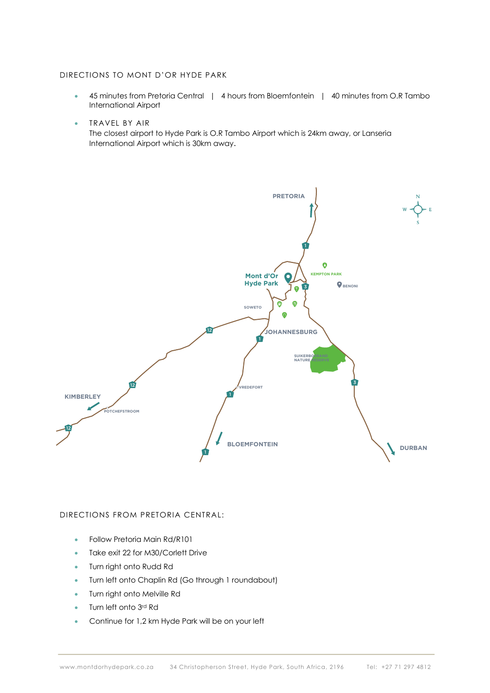#### DIRECTIONS TO MONT D'OR HYDE PARK

- 45 minutes from Pretoria Central | 4 hours from Bloemfontein | 40 minutes from O.R Tambo International Airport
- TRAVEL BY AIR

The closest airport to Hyde Park is O.R Tambo Airport which is 24km away, or Lanseria International Airport which is 30km away.



## DIRECTIONS FROM PRETORIA CENTRAL:

- Follow Pretoria Main Rd/R101
- Take exit 22 for M30/Corlett Drive
- Turn right onto Rudd Rd
- Turn left onto Chaplin Rd (Go through 1 roundabout)
- Turn right onto Melville Rd
- Turn left onto 3rd Rd
- Continue for 1,2 km Hyde Park will be on your left